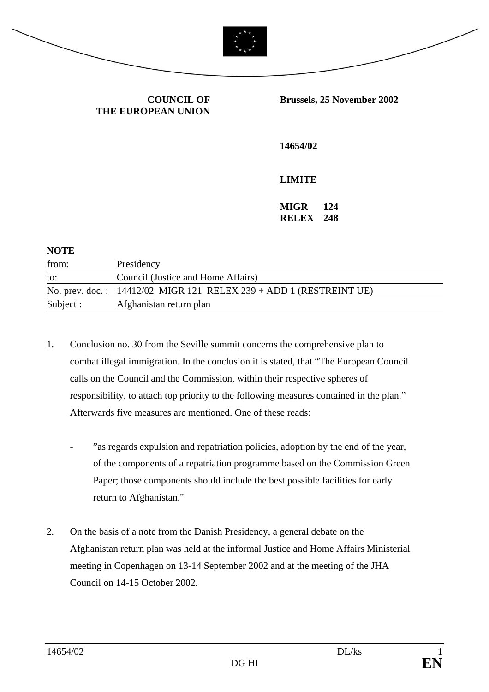

## **COUNCIL OF THE EUROPEAN UNION**

#### **Brussels, 25 November 2002**

**14654/02** 

# **LIMITE**

**MIGR 124 RELEX 248** 

| <b>NOTE</b> |                                                                      |
|-------------|----------------------------------------------------------------------|
| from:       | Presidency                                                           |
| to:         | Council (Justice and Home Affairs)                                   |
|             | No. prev. doc.: $14412/02$ MIGR 121 RELEX 239 + ADD 1 (RESTREINT UE) |
| Subject :   | Afghanistan return plan                                              |

- 1. Conclusion no. 30 from the Seville summit concerns the comprehensive plan to combat illegal immigration. In the conclusion it is stated, that "The European Council calls on the Council and the Commission, within their respective spheres of responsibility, to attach top priority to the following measures contained in the plan." Afterwards five measures are mentioned. One of these reads:
	- "as regards expulsion and repatriation policies, adoption by the end of the year, of the components of a repatriation programme based on the Commission Green Paper; those components should include the best possible facilities for early return to Afghanistan."
- 2. On the basis of a note from the Danish Presidency, a general debate on the Afghanistan return plan was held at the informal Justice and Home Affairs Ministerial meeting in Copenhagen on 13-14 September 2002 and at the meeting of the JHA Council on 14-15 October 2002.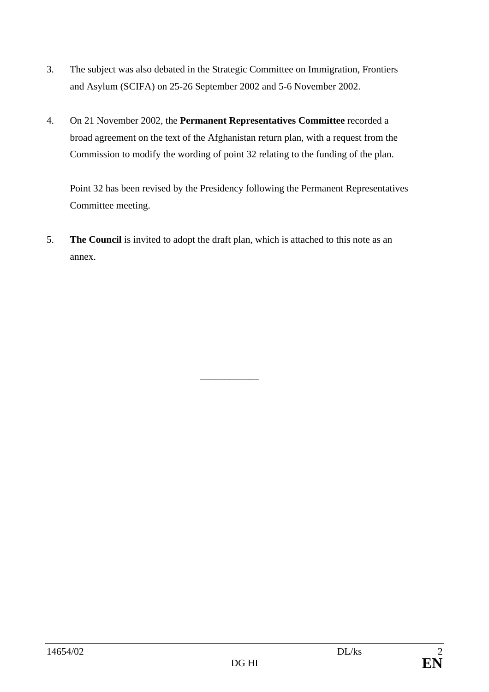- 3. The subject was also debated in the Strategic Committee on Immigration, Frontiers and Asylum (SCIFA) on 25-26 September 2002 and 5-6 November 2002.
- 4. On 21 November 2002, the **Permanent Representatives Committee** recorded a broad agreement on the text of the Afghanistan return plan, with a request from the Commission to modify the wording of point 32 relating to the funding of the plan.

 Point 32 has been revised by the Presidency following the Permanent Representatives Committee meeting.

5. **The Council** is invited to adopt the draft plan, which is attached to this note as an annex.

\_\_\_\_\_\_\_\_\_\_\_\_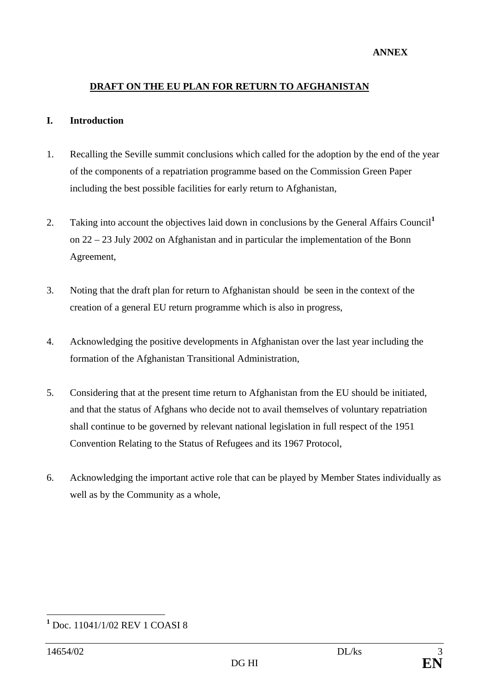#### **ANNEX**

### **DRAFT ON THE EU PLAN FOR RETURN TO AFGHANISTAN**

#### **I. Introduction**

- 1. Recalling the Seville summit conclusions which called for the adoption by the end of the year of the components of a repatriation programme based on the Commission Green Paper including the best possible facilities for early return to Afghanistan,
- 2. Taking into account the objectives laid down in conclusions by the General Affairs Council**[1](#page-2-0)** on 22 – 23 July 2002 on Afghanistan and in particular the implementation of the Bonn Agreement,
- 3. Noting that the draft plan for return to Afghanistan should be seen in the context of the creation of a general EU return programme which is also in progress,
- 4. Acknowledging the positive developments in Afghanistan over the last year including the formation of the Afghanistan Transitional Administration,
- 5. Considering that at the present time return to Afghanistan from the EU should be initiated, and that the status of Afghans who decide not to avail themselves of voluntary repatriation shall continue to be governed by relevant national legislation in full respect of the 1951 Convention Relating to the Status of Refugees and its 1967 Protocol,
- 6. Acknowledging the important active role that can be played by Member States individually as well as by the Community as a whole,

<span id="page-2-0"></span> $\overline{a}$ **1** Doc. 11041/1/02 REV 1 COASI 8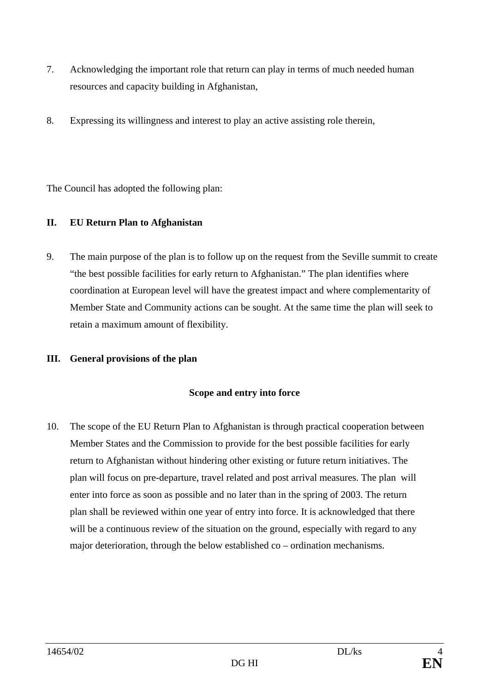- 7. Acknowledging the important role that return can play in terms of much needed human resources and capacity building in Afghanistan,
- 8. Expressing its willingness and interest to play an active assisting role therein,

The Council has adopted the following plan:

## **II. EU Return Plan to Afghanistan**

9. The main purpose of the plan is to follow up on the request from the Seville summit to create "the best possible facilities for early return to Afghanistan." The plan identifies where coordination at European level will have the greatest impact and where complementarity of Member State and Community actions can be sought. At the same time the plan will seek to retain a maximum amount of flexibility.

# **III. General provisions of the plan**

## **Scope and entry into force**

10. The scope of the EU Return Plan to Afghanistan is through practical cooperation between Member States and the Commission to provide for the best possible facilities for early return to Afghanistan without hindering other existing or future return initiatives. The plan will focus on pre-departure, travel related and post arrival measures. The plan will enter into force as soon as possible and no later than in the spring of 2003. The return plan shall be reviewed within one year of entry into force. It is acknowledged that there will be a continuous review of the situation on the ground, especially with regard to any major deterioration, through the below established co – ordination mechanisms.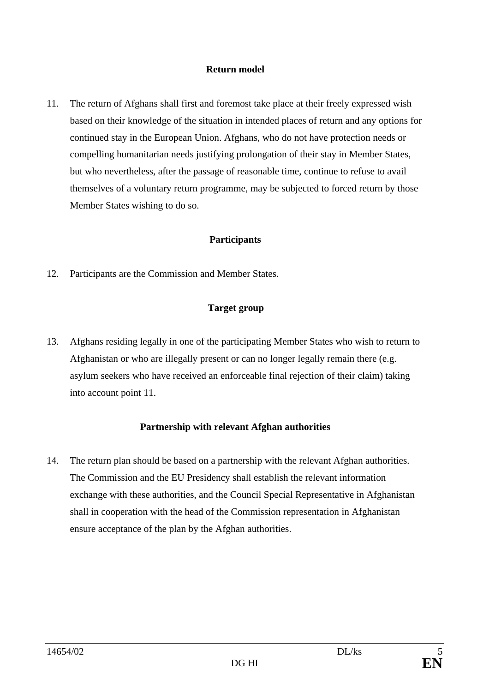### **Return model**

11. The return of Afghans shall first and foremost take place at their freely expressed wish based on their knowledge of the situation in intended places of return and any options for continued stay in the European Union. Afghans, who do not have protection needs or compelling humanitarian needs justifying prolongation of their stay in Member States, but who nevertheless, after the passage of reasonable time, continue to refuse to avail themselves of a voluntary return programme, may be subjected to forced return by those Member States wishing to do so.

### **Participants**

12. Participants are the Commission and Member States.

### **Target group**

13. Afghans residing legally in one of the participating Member States who wish to return to Afghanistan or who are illegally present or can no longer legally remain there (e.g. asylum seekers who have received an enforceable final rejection of their claim) taking into account point 11.

### **Partnership with relevant Afghan authorities**

14. The return plan should be based on a partnership with the relevant Afghan authorities. The Commission and the EU Presidency shall establish the relevant information exchange with these authorities, and the Council Special Representative in Afghanistan shall in cooperation with the head of the Commission representation in Afghanistan ensure acceptance of the plan by the Afghan authorities.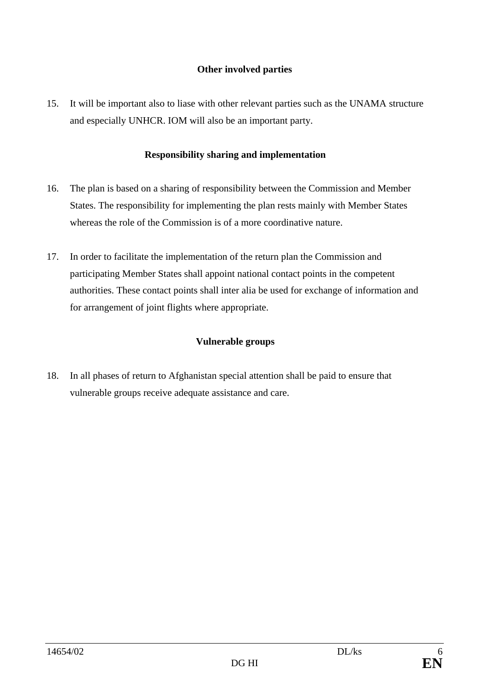## **Other involved parties**

15. It will be important also to liase with other relevant parties such as the UNAMA structure and especially UNHCR. IOM will also be an important party.

## **Responsibility sharing and implementation**

- 16. The plan is based on a sharing of responsibility between the Commission and Member States. The responsibility for implementing the plan rests mainly with Member States whereas the role of the Commission is of a more coordinative nature.
- 17. In order to facilitate the implementation of the return plan the Commission and participating Member States shall appoint national contact points in the competent authorities. These contact points shall inter alia be used for exchange of information and for arrangement of joint flights where appropriate.

# **Vulnerable groups**

18. In all phases of return to Afghanistan special attention shall be paid to ensure that vulnerable groups receive adequate assistance and care.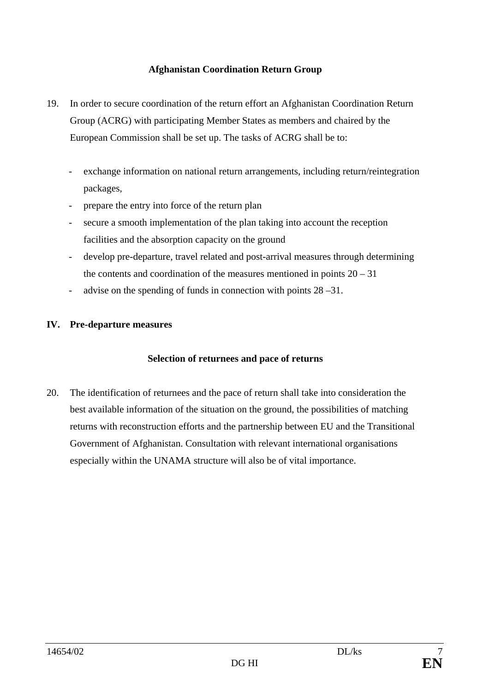## **Afghanistan Coordination Return Group**

- 19. In order to secure coordination of the return effort an Afghanistan Coordination Return Group (ACRG) with participating Member States as members and chaired by the European Commission shall be set up. The tasks of ACRG shall be to:
	- exchange information on national return arrangements, including return/reintegration packages,
	- prepare the entry into force of the return plan
	- secure a smooth implementation of the plan taking into account the reception facilities and the absorption capacity on the ground
	- develop pre-departure, travel related and post-arrival measures through determining the contents and coordination of the measures mentioned in points  $20 - 31$
	- advise on the spending of funds in connection with points 28 –31.

# **IV. Pre-departure measures**

## **Selection of returnees and pace of returns**

20. The identification of returnees and the pace of return shall take into consideration the best available information of the situation on the ground, the possibilities of matching returns with reconstruction efforts and the partnership between EU and the Transitional Government of Afghanistan. Consultation with relevant international organisations especially within the UNAMA structure will also be of vital importance.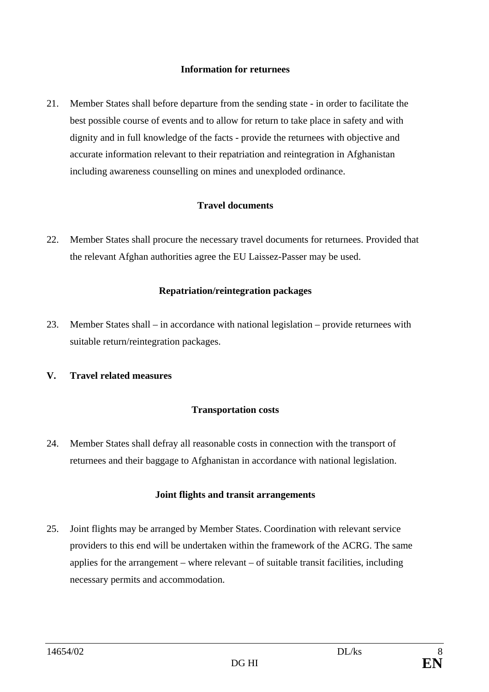### **Information for returnees**

21. Member States shall before departure from the sending state - in order to facilitate the best possible course of events and to allow for return to take place in safety and with dignity and in full knowledge of the facts - provide the returnees with objective and accurate information relevant to their repatriation and reintegration in Afghanistan including awareness counselling on mines and unexploded ordinance.

### **Travel documents**

22. Member States shall procure the necessary travel documents for returnees. Provided that the relevant Afghan authorities agree the EU Laissez-Passer may be used.

### **Repatriation/reintegration packages**

23. Member States shall – in accordance with national legislation – provide returnees with suitable return/reintegration packages.

### **V. Travel related measures**

### **Transportation costs**

24. Member States shall defray all reasonable costs in connection with the transport of returnees and their baggage to Afghanistan in accordance with national legislation.

### **Joint flights and transit arrangements**

25. Joint flights may be arranged by Member States. Coordination with relevant service providers to this end will be undertaken within the framework of the ACRG. The same applies for the arrangement – where relevant – of suitable transit facilities, including necessary permits and accommodation.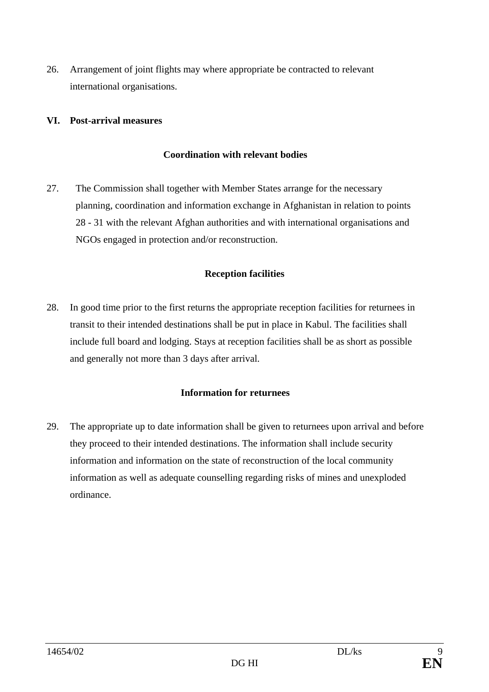26. Arrangement of joint flights may where appropriate be contracted to relevant international organisations.

## **VI. Post-arrival measures**

### **Coordination with relevant bodies**

27. The Commission shall together with Member States arrange for the necessary planning, coordination and information exchange in Afghanistan in relation to points 28 - 31 with the relevant Afghan authorities and with international organisations and NGOs engaged in protection and/or reconstruction.

### **Reception facilities**

28. In good time prior to the first returns the appropriate reception facilities for returnees in transit to their intended destinations shall be put in place in Kabul. The facilities shall include full board and lodging. Stays at reception facilities shall be as short as possible and generally not more than 3 days after arrival.

## **Information for returnees**

29. The appropriate up to date information shall be given to returnees upon arrival and before they proceed to their intended destinations. The information shall include security information and information on the state of reconstruction of the local community information as well as adequate counselling regarding risks of mines and unexploded ordinance.